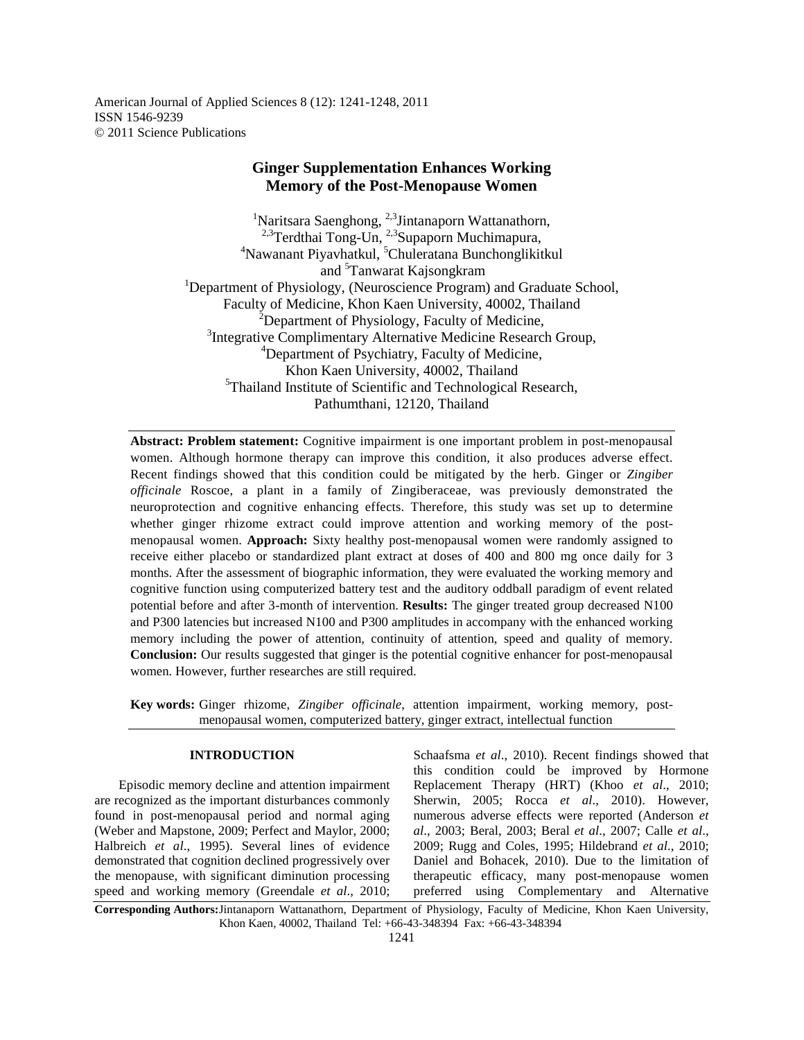American Journal of Applied Sciences 8 (12): 1241-1248, 2011 ISSN 1546-9239 © 2011 Science Publications

# **Ginger Supplementation Enhances Working Memory of the Post-Menopause Women**

<sup>1</sup>Naritsara Saenghong,  $2,3$ Jintanaporn Wattanathorn, <sup>2,3</sup>Terdthai Tong-Un, <sup>2,3</sup>Supaporn Muchimapura, <sup>4</sup>Nawanant Piyavhatkul, <sup>5</sup>Chuleratana Bunchonglikitkul and <sup>5</sup>Tanwarat Kajsongkram <sup>1</sup>Department of Physiology, (Neuroscience Program) and Graduate School, Faculty of Medicine, Khon Kaen University, 40002, Thailand  $2$ Department of Physiology, Faculty of Medicine, <sup>3</sup>Integrative Complimentary Alternative Medicine Research Group, <sup>4</sup>Department of Psychiatry, Faculty of Medicine, Khon Kaen University, 40002, Thailand <sup>5</sup>Thailand Institute of Scientific and Technological Research, Pathumthani, 12120, Thailand

**Abstract: Problem statement:** Cognitive impairment is one important problem in post-menopausal women. Although hormone therapy can improve this condition, it also produces adverse effect. Recent findings showed that this condition could be mitigated by the herb. Ginger or *Zingiber officinale* Roscoe, a plant in a family of Zingiberaceae, was previously demonstrated the neuroprotection and cognitive enhancing effects. Therefore, this study was set up to determine whether ginger rhizome extract could improve attention and working memory of the postmenopausal women. **Approach:** Sixty healthy post-menopausal women were randomly assigned to receive either placebo or standardized plant extract at doses of 400 and 800 mg once daily for 3 months. After the assessment of biographic information, they were evaluated the working memory and cognitive function using computerized battery test and the auditory oddball paradigm of event related potential before and after 3-month of intervention. **Results:** The ginger treated group decreased N100 and P300 latencies but increased N100 and P300 amplitudes in accompany with the enhanced working memory including the power of attention, continuity of attention, speed and quality of memory. **Conclusion:** Our results suggested that ginger is the potential cognitive enhancer for post-menopausal women. However, further researches are still required.

**Key words:** Ginger rhizome, *Zingiber officinale*, attention impairment, working memory, postmenopausal women, computerized battery, ginger extract, intellectual function

## **INTRODUCTION**

 Episodic memory decline and attention impairment are recognized as the important disturbances commonly found in post-menopausal period and normal aging (Weber and Mapstone, 2009; Perfect and Maylor, 2000; Halbreich *et al*., 1995). Several lines of evidence demonstrated that cognition declined progressively over the menopause, with significant diminution processing speed and working memory (Greendale *et al*., 2010; Schaafsma *et al*., 2010). Recent findings showed that this condition could be improved by Hormone Replacement Therapy (HRT) (Khoo *et al*., 2010; Sherwin, 2005; Rocca *et al*., 2010). However, numerous adverse effects were reported (Anderson *et al*., 2003; Beral, 2003; Beral *et al*., 2007; Calle *et al*., 2009; Rugg and Coles, 1995; Hildebrand *et al*., 2010; Daniel and Bohacek, 2010). Due to the limitation of therapeutic efficacy, many post-menopause women preferred using Complementary and Alternative

**Corresponding Authors:** Jintanaporn Wattanathorn, Department of Physiology, Faculty of Medicine, Khon Kaen University, Khon Kaen, 40002, Thailand Tel: +66-43-348394 Fax: +66-43-348394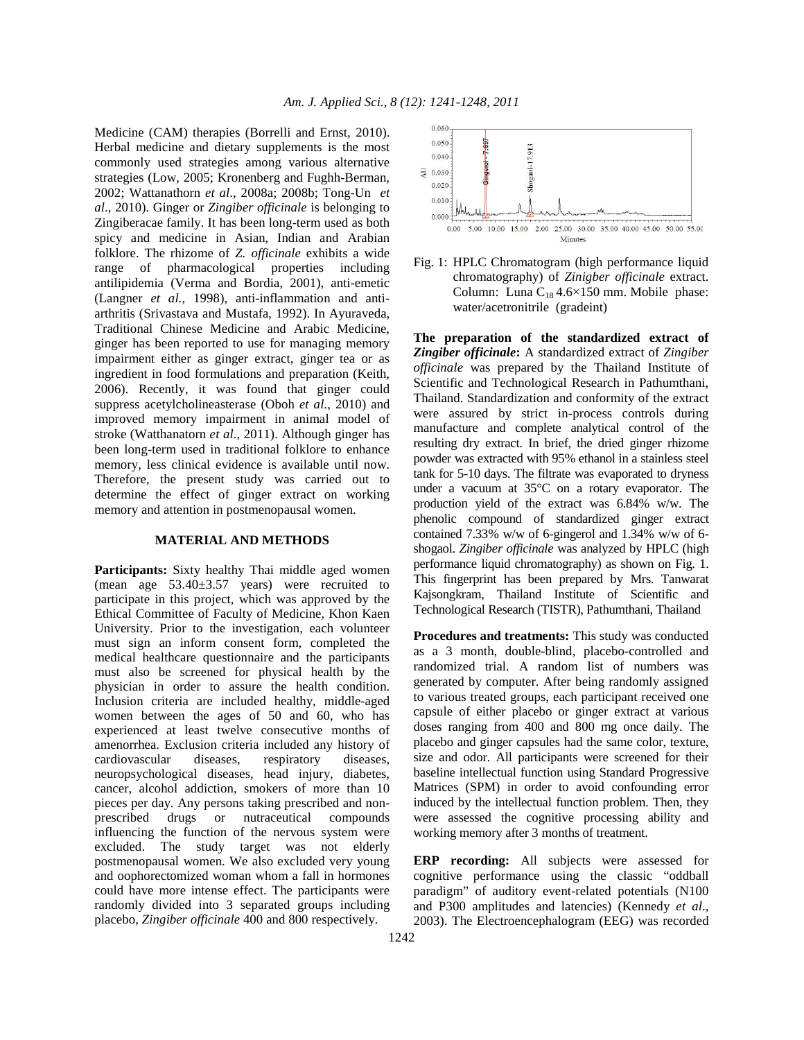Medicine (CAM) therapies (Borrelli and Ernst, 2010). Herbal medicine and dietary supplements is the most commonly used strategies among various alternative strategies (Low, 2005; Kronenberg and Fughh-Berman, 2002; Wattanathorn *et al*., 2008a; 2008b; Tong-Un *et al*., 2010). Ginger or *Zingiber officinale* is belonging to Zingiberacae family. It has been long-term used as both spicy and medicine in Asian, Indian and Arabian folklore. The rhizome of *Z. officinale* exhibits a wide range of pharmacological properties including antilipidemia (Verma and Bordia, 2001), anti-emetic (Langner *et al*., 1998), anti-inflammation and antiarthritis (Srivastava and Mustafa, 1992). In Ayuraveda, Traditional Chinese Medicine and Arabic Medicine, ginger has been reported to use for managing memory impairment either as ginger extract, ginger tea or as ingredient in food formulations and preparation (Keith, 2006). Recently, it was found that ginger could suppress acetylcholineasterase (Oboh *et al*., 2010) and improved memory impairment in animal model of stroke (Watthanatorn *et al*., 2011). Although ginger has been long-term used in traditional folklore to enhance memory, less clinical evidence is available until now. Therefore, the present study was carried out to determine the effect of ginger extract on working memory and attention in postmenopausal women.

#### **MATERIAL AND METHODS**

**Participants:** Sixty healthy Thai middle aged women (mean age 53.40±3.57 years) were recruited to participate in this project, which was approved by the Ethical Committee of Faculty of Medicine, Khon Kaen University. Prior to the investigation, each volunteer must sign an inform consent form, completed the medical healthcare questionnaire and the participants must also be screened for physical health by the physician in order to assure the health condition. Inclusion criteria are included healthy, middle-aged women between the ages of 50 and 60, who has experienced at least twelve consecutive months of amenorrhea. Exclusion criteria included any history of cardiovascular diseases, respiratory diseases, neuropsychological diseases, head injury, diabetes, cancer, alcohol addiction, smokers of more than 10 pieces per day. Any persons taking prescribed and nonprescribed drugs or nutraceutical compounds influencing the function of the nervous system were excluded. The study target was not elderly postmenopausal women. We also excluded very young and oophorectomized woman whom a fall in hormones could have more intense effect. The participants were randomly divided into 3 separated groups including placebo, *Zingiber officinale* 400 and 800 respectively.



Fig. 1: HPLC Chromatogram (high performance liquid chromatography) of *Zinigber officinale* extract. Column: Luna  $C_{18}$  4.6×150 mm. Mobile phase: water/acetronitrile (gradeint)

**The preparation of the standardized extract of**  *Zingiber officinale***:** A standardized extract of *Zingiber officinale* was prepared by the Thailand Institute of Scientific and Technological Research in Pathumthani, Thailand. Standardization and conformity of the extract were assured by strict in-process controls during manufacture and complete analytical control of the resulting dry extract. In brief, the dried ginger rhizome powder was extracted with 95% ethanol in a stainless steel tank for 5-10 days. The filtrate was evaporated to dryness under a vacuum at 35°C on a rotary evaporator. The production yield of the extract was 6.84% w/w. The phenolic compound of standardized ginger extract contained 7.33% w/w of 6-gingerol and 1.34% w/w of 6 shogaol. *Zingiber officinale* was analyzed by HPLC (high performance liquid chromatography) as shown on Fig. 1. This fingerprint has been prepared by Mrs. Tanwarat Kajsongkram, Thailand Institute of Scientific and Technological Research (TISTR), Pathumthani, Thailand

**Procedures and treatments:** This study was conducted as a 3 month, double-blind, placebo-controlled and randomized trial. A random list of numbers was generated by computer. After being randomly assigned to various treated groups, each participant received one capsule of either placebo or ginger extract at various doses ranging from 400 and 800 mg once daily. The placebo and ginger capsules had the same color, texture, size and odor. All participants were screened for their baseline intellectual function using Standard Progressive Matrices (SPM) in order to avoid confounding error induced by the intellectual function problem. Then, they were assessed the cognitive processing ability and working memory after 3 months of treatment.

**ERP recording:** All subjects were assessed for cognitive performance using the classic "oddball paradigm" of auditory event-related potentials (N100 and P300 amplitudes and latencies) (Kennedy *et al*., 2003). The Electroencephalogram (EEG) was recorded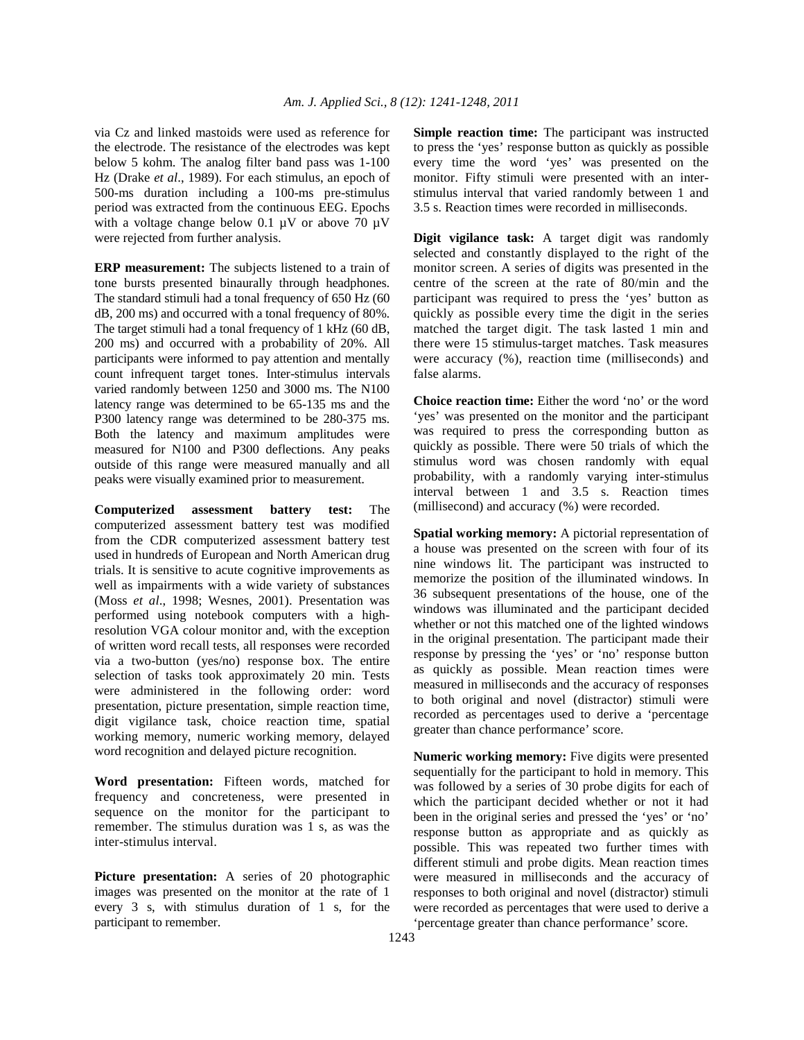via Cz and linked mastoids were used as reference for the electrode. The resistance of the electrodes was kept below 5 kohm. The analog filter band pass was 1-100 Hz (Drake *et al*., 1989). For each stimulus, an epoch of 500-ms duration including a 100-ms pre-stimulus period was extracted from the continuous EEG. Epochs with a voltage change below 0.1 µV or above 70 µV were rejected from further analysis.

**ERP measurement:** The subjects listened to a train of tone bursts presented binaurally through headphones. The standard stimuli had a tonal frequency of 650 Hz (60 dB, 200 ms) and occurred with a tonal frequency of 80%. The target stimuli had a tonal frequency of 1 kHz (60 dB, 200 ms) and occurred with a probability of 20%. All participants were informed to pay attention and mentally count infrequent target tones. Inter-stimulus intervals varied randomly between 1250 and 3000 ms. The N100 latency range was determined to be 65-135 ms and the P300 latency range was determined to be 280-375 ms. Both the latency and maximum amplitudes were measured for N100 and P300 deflections. Any peaks outside of this range were measured manually and all peaks were visually examined prior to measurement.

**Computerized assessment battery test:** The computerized assessment battery test was modified from the CDR computerized assessment battery test used in hundreds of European and North American drug trials. It is sensitive to acute cognitive improvements as well as impairments with a wide variety of substances (Moss *et al*., 1998; Wesnes, 2001). Presentation was performed using notebook computers with a highresolution VGA colour monitor and, with the exception of written word recall tests, all responses were recorded via a two-button (yes/no) response box. The entire selection of tasks took approximately 20 min. Tests were administered in the following order: word presentation, picture presentation, simple reaction time, digit vigilance task, choice reaction time, spatial working memory, numeric working memory, delayed word recognition and delayed picture recognition.

**Word presentation:** Fifteen words, matched for frequency and concreteness, were presented in sequence on the monitor for the participant to remember. The stimulus duration was 1 s, as was the inter-stimulus interval.

**Picture presentation:** A series of 20 photographic images was presented on the monitor at the rate of 1 every 3 s, with stimulus duration of 1 s, for the participant to remember.

**Simple reaction time:** The participant was instructed to press the 'yes' response button as quickly as possible every time the word 'yes' was presented on the monitor. Fifty stimuli were presented with an interstimulus interval that varied randomly between 1 and 3.5 s. Reaction times were recorded in milliseconds.

**Digit vigilance task:** A target digit was randomly selected and constantly displayed to the right of the monitor screen. A series of digits was presented in the centre of the screen at the rate of 80/min and the participant was required to press the 'yes' button as quickly as possible every time the digit in the series matched the target digit. The task lasted 1 min and there were 15 stimulus-target matches. Task measures were accuracy (%), reaction time (milliseconds) and false alarms.

**Choice reaction time:** Either the word 'no' or the word 'yes' was presented on the monitor and the participant was required to press the corresponding button as quickly as possible. There were 50 trials of which the stimulus word was chosen randomly with equal probability, with a randomly varying inter-stimulus interval between 1 and 3.5 s. Reaction times (millisecond) and accuracy (%) were recorded.

**Spatial working memory:** A pictorial representation of a house was presented on the screen with four of its nine windows lit. The participant was instructed to memorize the position of the illuminated windows. In 36 subsequent presentations of the house, one of the windows was illuminated and the participant decided whether or not this matched one of the lighted windows in the original presentation. The participant made their response by pressing the 'yes' or 'no' response button as quickly as possible. Mean reaction times were measured in milliseconds and the accuracy of responses to both original and novel (distractor) stimuli were recorded as percentages used to derive a 'percentage greater than chance performance' score.

**Numeric working memory:** Five digits were presented sequentially for the participant to hold in memory. This was followed by a series of 30 probe digits for each of which the participant decided whether or not it had been in the original series and pressed the 'yes' or 'no' response button as appropriate and as quickly as possible. This was repeated two further times with different stimuli and probe digits. Mean reaction times were measured in milliseconds and the accuracy of responses to both original and novel (distractor) stimuli were recorded as percentages that were used to derive a 'percentage greater than chance performance' score.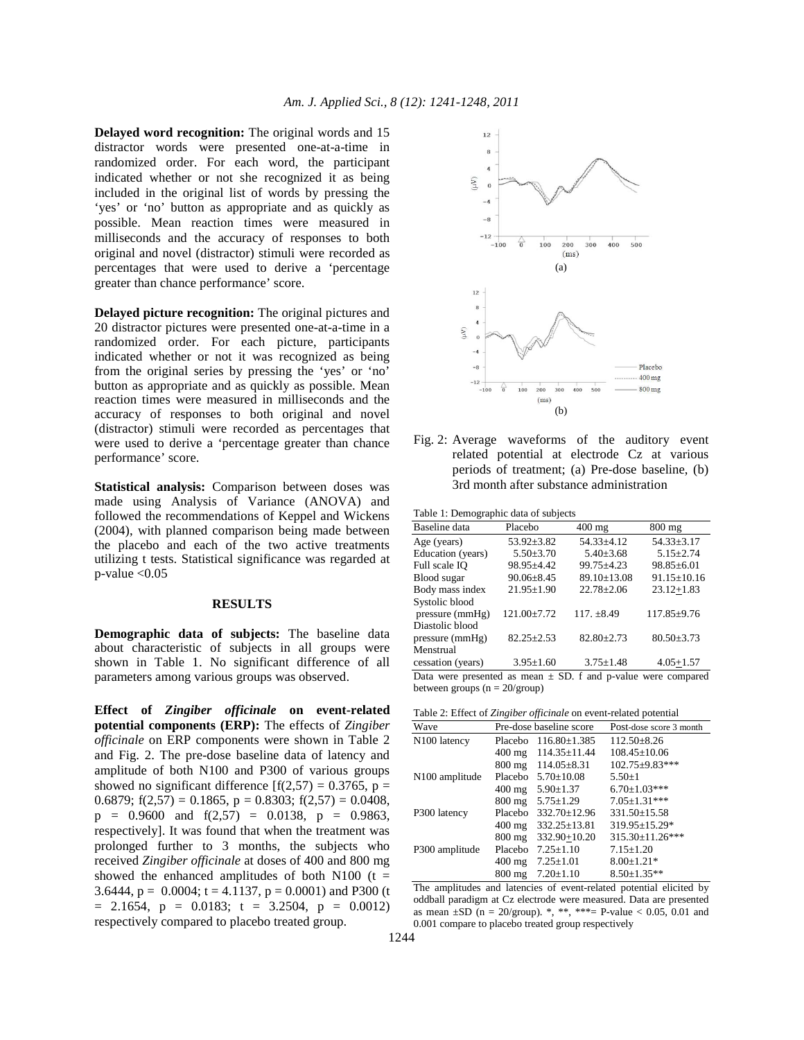**Delayed word recognition:** The original words and 15 distractor words were presented one-at-a-time in randomized order. For each word, the participant indicated whether or not she recognized it as being included in the original list of words by pressing the 'yes' or 'no' button as appropriate and as quickly as possible. Mean reaction times were measured in milliseconds and the accuracy of responses to both original and novel (distractor) stimuli were recorded as percentages that were used to derive a 'percentage greater than chance performance' score.

**Delayed picture recognition:** The original pictures and 20 distractor pictures were presented one-at-a-time in a randomized order. For each picture, participants indicated whether or not it was recognized as being from the original series by pressing the 'yes' or 'no' button as appropriate and as quickly as possible. Mean reaction times were measured in milliseconds and the accuracy of responses to both original and novel (distractor) stimuli were recorded as percentages that were used to derive a 'percentage greater than chance performance' score.

**Statistical analysis:** Comparison between doses was made using Analysis of Variance (ANOVA) and followed the recommendations of Keppel and Wickens (2004), with planned comparison being made between the placebo and each of the two active treatments utilizing t tests. Statistical significance was regarded at  $p$ -value  $< 0.05$ 

### **RESULTS**

**Demographic data of subjects:** The baseline data about characteristic of subjects in all groups were shown in Table 1. No significant difference of all parameters among various groups was observed.

**Effect of** *Zingiber officinale* **on event-related potential components (ERP):** The effects of *Zingiber officinale* on ERP components were shown in Table 2 and Fig. 2. The pre-dose baseline data of latency and amplitude of both N100 and P300 of various groups showed no significant difference  $[f(2,57) = 0.3765, p =$ 0.6879;  $f(2,57) = 0.1865$ ,  $p = 0.8303$ ;  $f(2,57) = 0.0408$ ,  $p = 0.9600$  and  $f(2,57) = 0.0138$ ,  $p = 0.9863$ , respectively]. It was found that when the treatment was prolonged further to 3 months, the subjects who received *Zingiber officinale* at doses of 400 and 800 mg showed the enhanced amplitudes of both N100 ( $t =$ 3.6444,  $p = 0.0004$ ;  $t = 4.1137$ ,  $p = 0.0001$ ) and P300 (t  $= 2.1654$ ,  $p = 0.0183$ ;  $t = 3.2504$ ,  $p = 0.0012$ ) respectively compared to placebo treated group.



Fig. 2: Average waveforms of the auditory event related potential at electrode Cz at various periods of treatment; (a) Pre-dose baseline, (b) 3rd month after substance administration

| Table 1: Demographic data of subjects |  |  |  |  |  |  |  |
|---------------------------------------|--|--|--|--|--|--|--|
|---------------------------------------|--|--|--|--|--|--|--|

| Baseline data                                                     | Placebo           | $400 \text{ mg}$ | $800$ mg          |  |
|-------------------------------------------------------------------|-------------------|------------------|-------------------|--|
| Age (years)                                                       | $53.92 \pm 3.82$  | $54.33 \pm 4.12$ | $54.33 \pm 3.17$  |  |
| Education (years)                                                 | $5.50 \pm 3.70$   | $5.40 \pm 3.68$  | $5.15 \pm 2.74$   |  |
| Full scale IO                                                     | 98.95±4.42        | $99.75 + 4.23$   | $98.85 \pm 6.01$  |  |
| Blood sugar                                                       | $90.06 \pm 8.45$  | 89.10±13.08      | $91.15 \pm 10.16$ |  |
| Body mass index                                                   | $21.95 \pm 1.90$  | $22.78 \pm 2.06$ | $23.12 + 1.83$    |  |
| Systolic blood                                                    |                   |                  |                   |  |
| pressure (mmHg)                                                   | $121.00 \pm 7.72$ | $117. \pm 8.49$  | $117.85 \pm 9.76$ |  |
| Diastolic blood                                                   |                   |                  |                   |  |
| pressure (mmHg)                                                   | $82.25 \pm 2.53$  | $82.80 \pm 2.73$ | $80.50 \pm 3.73$  |  |
| Menstrual                                                         |                   |                  |                   |  |
| cessation (years)                                                 | $3.95 \pm 1.60$   | $3.75 \pm 1.48$  | $4.05 + 1.57$     |  |
| Data were presented as mean $\pm$ SD. f and p-value were compared |                   |                  |                   |  |

between groups  $(n = 20/\text{group})$ 

Table 2: Effect of *Zingiber officinale* on event-related potential

|                            | $\cdot$          |                         |                         |
|----------------------------|------------------|-------------------------|-------------------------|
| Wave                       |                  | Pre-dose baseline score | Post-dose score 3 month |
| N <sub>100</sub> latency   | Placebo          | $116.80 \pm 1.385$      | $112.50 \pm 8.26$       |
|                            | $400 \text{ mg}$ | 114.35±11.44            | $108.45 \pm 10.06$      |
|                            | $800 \text{ mg}$ | $114.05 \pm 8.31$       | $102.75 + 9.83$ ***     |
| N <sub>100</sub> amplitude | Placebo          | $5.70 + 10.08$          | $5.50+1$                |
|                            | $400 \text{ mg}$ | $5.90 \pm 1.37$         | $6.70 \pm 1.03$ ***     |
|                            | $800 \text{ mg}$ | $5.75 \pm 1.29$         | $7.05 \pm 1.31***$      |
| P300 latency               | Placebo          | $332.70 \pm 12.96$      | $331.50 \pm 15.58$      |
|                            | $400 \text{ mg}$ | $332.25 \pm 13.81$      | 319.95±15.29*           |
|                            | $800 \text{ mg}$ | 332.90+10.20            | 315.30±11.26***         |
| P300 amplitude             | Placebo          | $7.25 \pm 1.10$         | $7.15 \pm 1.20$         |
|                            | $400 \text{ mg}$ | $7.25 \pm 1.01$         | $8.00 \pm 1.21$ *       |
|                            | $800 \text{ mg}$ | $7.20 \pm 1.10$         | $8.50 \pm 1.35**$       |

The amplitudes and latencies of event-related potential elicited by oddball paradigm at Cz electrode were measured. Data are presented as mean  $\pm$ SD (n = 20/group). \*, \*\*, \*\*\*= P-value < 0.05, 0.01 and 0.001 compare to placebo treated group respectively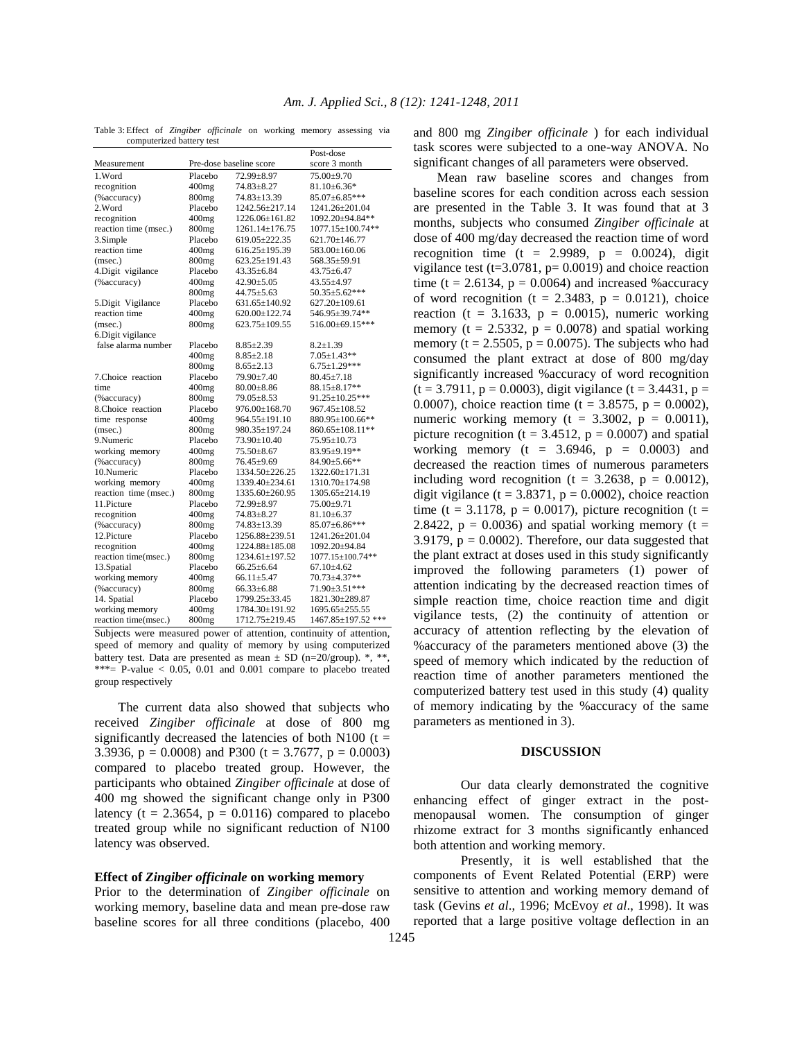Table 3: Effect of *Zingiber officinale* on working memory assessing via computerized battery test

|                       |                         |                     | Post-dose              |
|-----------------------|-------------------------|---------------------|------------------------|
| Measurement           | Pre-dose baseline score |                     | score 3 month          |
| 1.Word                | Placebo                 | 72.99±8.97          | $75.00 \pm 9.70$       |
| recognition           | $400$ mg                | $74.83 \pm 8.27$    | $81.10 \pm 6.36*$      |
| (% accuracy)          | 800 <sub>mg</sub>       | 74.83±13.39         | 85.07±6.85***          |
| 2. Word               | Placebo                 | 1242.56±217.14      | 1241.26±201.04         |
| recognition           | $400$ mg                | 1226.06±161.82      | 1092.20±94.84**        |
| reaction time (msec.) | 800 <sub>mg</sub>       | 1261.14±176.75      | $1077.15 \pm 100.74**$ |
| 3.Simple              | Placebo                 | 619.05±222.35       | 621.70±146.77          |
| reaction time         | $400$ mg                | $616.25 \pm 195.39$ | 583.00±160.06          |
| (msec.)               | 800 <sub>mg</sub>       | 623.25±191.43       | 568.35±59.91           |
| 4.Digit vigilance     | Placebo                 | $43.35 \pm 6.84$    | $43.75 \pm 6.47$       |
| (%accuracy)           | $400$ mg                | $42.90 \pm 5.05$    | 43.55±4.97             |
|                       | 800 <sub>mg</sub>       | $44.75 \pm 5.63$    | 50.35±5.62***          |
| 5.Digit Vigilance     | Placebo                 | 631.65±140.92       | $627.20 \pm 109.61$    |
| reaction time         | $400$ mg                | 620.00±122.74       | 546.95±39.74**         |
| (msec.)               | 800 <sub>mg</sub>       | 623.75±109.55       | 516.00±69.15***        |
| 6. Digit vigilance    |                         |                     |                        |
| false alarma number   | Placebo                 | $8.85 \pm 2.39$     | $8.2 \pm 1.39$         |
|                       | $400$ mg                | $8.85 \pm 2.18$     | $7.05{\pm}1.43**$      |
|                       | 800 <sub>mg</sub>       | $8.65 \pm 2.13$     | $6.75 \pm 1.29$ ***    |
| 7. Choice reaction    | Placebo                 | 79.90±7.40          | $80.45 \pm 7.18$       |
| time                  | $400$ mg                | $80.00 \pm 8.86$    | $88.15 \pm 8.17**$     |
| (% accuracy)          | 800 <sub>mg</sub>       | $79.05 \pm 8.53$    | 91.25±10.25***         |
| 8.Choice reaction     | Placebo                 | 976.00±168.70       | 967.45±108.52          |
| time response         | $400$ mg                | 964.55±191.10       | 880.95±100.66**        |
| (msec.)               | 800 <sub>mg</sub>       | 980.35±197.24       | 860.65±108.11**        |
| 9.Numeric             | Placebo                 | 73.90±10.40         | 75.95±10.73            |
| working memory        | $400$ mg                | $75.50 \pm 8.67$    | 83.95±9.19**           |
| (% accuracy)          | 800 <sub>mg</sub>       | 76.45±9.69          | 84.90±5.66**           |
| 10.Numeric            | Placebo                 | 1334.50±226.25      | 1322.60±171.31         |
| working memory        | $400$ mg                | 1339.40±234.61      | 1310.70±174.98         |
| reaction time (msec.) | 800 <sub>mg</sub>       | 1335.60±260.95      | 1305.65±214.19         |
| 11. Picture           | Placebo                 | 72.99±8.97          | 75.00±9.71             |
| recognition           | $400$ mg                | $74.83 \pm 8.27$    | $81.10 \pm 6.37$       |
| (%accuracy)           | 800 <sub>mg</sub>       | 74.83±13.39         | 85.07±6.86***          |
| 12.Picture            | Placebo                 | 1256.88±239.51      | 1241.26±201.04         |
| recognition           | $400$ mg                | 1224.88±185.08      | 1092.20±94.84          |
| reaction time(msec.)  | 800 <sub>mg</sub>       | 1234.61±197.52      | 1077.15±100.74**       |
| 13. Spatial           | Placebo                 | $66.25 \pm 6.64$    | $67.10 \pm 4.62$       |
| working memory        | $400$ mg                | $66.11 \pm 5.47$    | 70.73±4.37**           |
| (% accuracy)          | 800 <sub>mg</sub>       | $66.33 \pm 6.88$    | 71.90±3.51***          |
| 14. Spatial           | Placebo                 | 1799.25±33.45       | 1821.30±289.87         |
| working memory        | 400 <sub>mg</sub>       | 1784.30±191.92      | 1695.65±255.55         |
| reaction time(msec.)  | 800 <sub>mg</sub>       | 1712.75±219.45      | 1467.85±197.52 ***     |

Subjects were measured power of attention, continuity of attention, speed of memory and quality of memory by using computerized battery test. Data are presented as mean  $\pm$  SD (n=20/group). \*, \*\*, \*\*\*= P-value  $< 0.05$ , 0.01 and 0.001 compare to placebo treated group respectively

 The current data also showed that subjects who received *Zingiber officinale* at dose of 800 mg significantly decreased the latencies of both N100 ( $t =$ 3.3936,  $p = 0.0008$ ) and P300 (t = 3.7677,  $p = 0.0003$ ) compared to placebo treated group. However, the participants who obtained *Zingiber officinale* at dose of 400 mg showed the significant change only in P300 latency ( $t = 2.3654$ ,  $p = 0.0116$ ) compared to placebo treated group while no significant reduction of N100 latency was observed.

### **Effect of** *Zingiber officinale* **on working memory**

Prior to the determination of *Zingiber officinale* on working memory, baseline data and mean pre-dose raw baseline scores for all three conditions (placebo, 400 and 800 mg *Zingiber officinale* ) for each individual task scores were subjected to a one-way ANOVA. No significant changes of all parameters were observed.

 Mean raw baseline scores and changes from baseline scores for each condition across each session are presented in the Table 3. It was found that at 3 months, subjects who consumed *Zingiber officinale* at dose of 400 mg/day decreased the reaction time of word recognition time (t = 2.9989,  $p = 0.0024$ ), digit vigilance test (t=3.0781,  $p= 0.0019$ ) and choice reaction time (t = 2.6134,  $p = 0.0064$ ) and increased % accuracy of word recognition (t = 2.3483,  $p = 0.0121$ ), choice reaction (t = 3.1633,  $p = 0.0015$ ), numeric working memory ( $t = 2.5332$ ,  $p = 0.0078$ ) and spatial working memory ( $t = 2.5505$ ,  $p = 0.0075$ ). The subjects who had consumed the plant extract at dose of 800 mg/day significantly increased %accuracy of word recognition  $(t = 3.7911, p = 0.0003)$ , digit vigilance  $(t = 3.4431, p = 1.0003)$ 0.0007), choice reaction time (t =  $3.8575$ , p = 0.0002), numeric working memory ( $t = 3.3002$ ,  $p = 0.0011$ ), picture recognition ( $t = 3.4512$ ,  $p = 0.0007$ ) and spatial working memory ( $t = 3.6946$ ,  $p = 0.0003$ ) and decreased the reaction times of numerous parameters including word recognition (t =  $3.2638$ , p = 0.0012), digit vigilance (t =  $3.8371$ , p = 0.0002), choice reaction time (t = 3.1178, p = 0.0017), picture recognition (t = 2.8422,  $p = 0.0036$ ) and spatial working memory (t = 3.9179,  $p = 0.0002$ ). Therefore, our data suggested that the plant extract at doses used in this study significantly improved the following parameters (1) power of attention indicating by the decreased reaction times of simple reaction time, choice reaction time and digit vigilance tests, (2) the continuity of attention or accuracy of attention reflecting by the elevation of %accuracy of the parameters mentioned above (3) the speed of memory which indicated by the reduction of reaction time of another parameters mentioned the computerized battery test used in this study (4) quality of memory indicating by the %accuracy of the same parameters as mentioned in 3).

## **DISCUSSION**

 Our data clearly demonstrated the cognitive enhancing effect of ginger extract in the postmenopausal women. The consumption of ginger rhizome extract for 3 months significantly enhanced both attention and working memory.

 Presently, it is well established that the components of Event Related Potential (ERP) were sensitive to attention and working memory demand of task (Gevins *et al*., 1996; McEvoy *et al*., 1998). It was reported that a large positive voltage deflection in an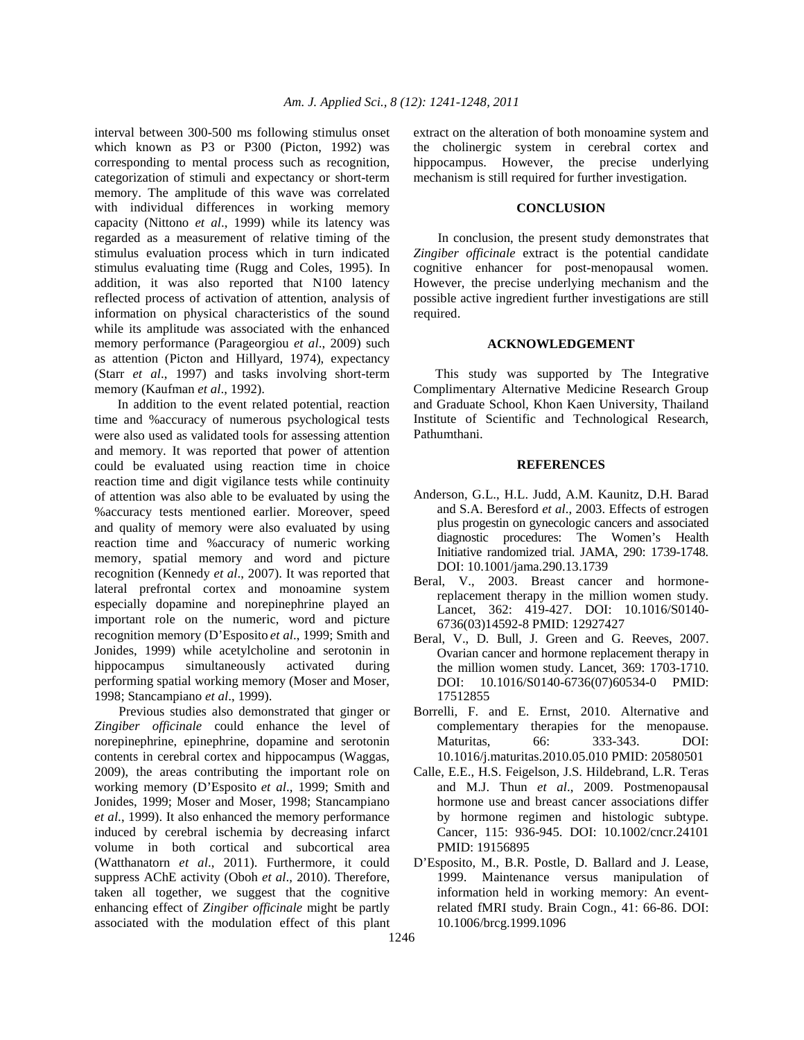interval between 300-500 ms following stimulus onset which known as P3 or P300 (Picton, 1992) was corresponding to mental process such as recognition, categorization of stimuli and expectancy or short-term memory. The amplitude of this wave was correlated with individual differences in working memory capacity (Nittono *et al*., 1999) while its latency was regarded as a measurement of relative timing of the stimulus evaluation process which in turn indicated stimulus evaluating time (Rugg and Coles, 1995). In addition, it was also reported that N100 latency reflected process of activation of attention, analysis of information on physical characteristics of the sound while its amplitude was associated with the enhanced memory performance (Parageorgiou *et al*., 2009) such as attention (Picton and Hillyard, 1974), expectancy (Starr *et al*., 1997) and tasks involving short-term memory (Kaufman *et al*., 1992).

 In addition to the event related potential, reaction time and %accuracy of numerous psychological tests were also used as validated tools for assessing attention and memory. It was reported that power of attention could be evaluated using reaction time in choice reaction time and digit vigilance tests while continuity of attention was also able to be evaluated by using the %accuracy tests mentioned earlier. Moreover, speed and quality of memory were also evaluated by using reaction time and %accuracy of numeric working memory, spatial memory and word and picture recognition (Kennedy *et al*., 2007). It was reported that lateral prefrontal cortex and monoamine system especially dopamine and norepinephrine played an important role on the numeric, word and picture recognition memory (D'Esposito *et al*., 1999; Smith and Jonides, 1999) while acetylcholine and serotonin in hippocampus simultaneously activated during performing spatial working memory (Moser and Moser, 1998; Stancampiano *et al*., 1999).

 Previous studies also demonstrated that ginger or *Zingiber officinale* could enhance the level of norepinephrine, epinephrine, dopamine and serotonin contents in cerebral cortex and hippocampus (Waggas, 2009), the areas contributing the important role on working memory (D'Esposito *et al*., 1999; Smith and Jonides, 1999; Moser and Moser, 1998; Stancampiano *et al*., 1999). It also enhanced the memory performance induced by cerebral ischemia by decreasing infarct volume in both cortical and subcortical area (Watthanatorn *et al*., 2011). Furthermore, it could suppress AChE activity (Oboh *et al*., 2010). Therefore, taken all together, we suggest that the cognitive enhancing effect of *Zingiber officinale* might be partly associated with the modulation effect of this plant

extract on the alteration of both monoamine system and the cholinergic system in cerebral cortex and hippocampus. However, the precise underlying mechanism is still required for further investigation.

# **CONCLUSION**

 In conclusion, the present study demonstrates that *Zingiber officinale* extract is the potential candidate cognitive enhancer for post-menopausal women. However, the precise underlying mechanism and the possible active ingredient further investigations are still required.

## **ACKNOWLEDGEMENT**

 This study was supported by The Integrative Complimentary Alternative Medicine Research Group and Graduate School, Khon Kaen University, Thailand Institute of Scientific and Technological Research, Pathumthani.

#### **REFERENCES**

- Anderson, G.L., H.L. Judd, A.M. Kaunitz, D.H. Barad and S.A. Beresford *et al*., 2003. Effects of estrogen plus progestin on gynecologic cancers and associated diagnostic procedures: The Women's Health Initiative randomized trial. JAMA, 290: 1739-1748. DOI: 10.1001/jama.290.13.1739
- Beral, V., 2003. Breast cancer and hormonereplacement therapy in the million women study. Lancet, 362: 419-427. DOI: 10.1016/S0140- 6736(03)14592-8 PMID: 12927427
- Beral, V., D. Bull, J. Green and G. Reeves, 2007. Ovarian cancer and hormone replacement therapy in the million women study. Lancet, 369: 1703-1710. DOI: 10.1016/S0140-6736(07)60534-0 PMID: 17512855
- Borrelli, F. and E. Ernst, 2010. Alternative and complementary therapies for the menopause. Maturitas, 66: 333-343. DOI: 10.1016/j.maturitas.2010.05.010 PMID: 20580501
- Calle, E.E., H.S. Feigelson, J.S. Hildebrand, L.R. Teras and M.J. Thun *et al*., 2009. Postmenopausal hormone use and breast cancer associations differ by hormone regimen and histologic subtype. Cancer, 115: 936-945. DOI: 10.1002/cncr.24101 PMID: 19156895
- D'Esposito, M., B.R. Postle, D. Ballard and J. Lease, 1999. Maintenance versus manipulation of information held in working memory: An eventrelated fMRI study. Brain Cogn., 41: 66-86. DOI: 10.1006/brcg.1999.1096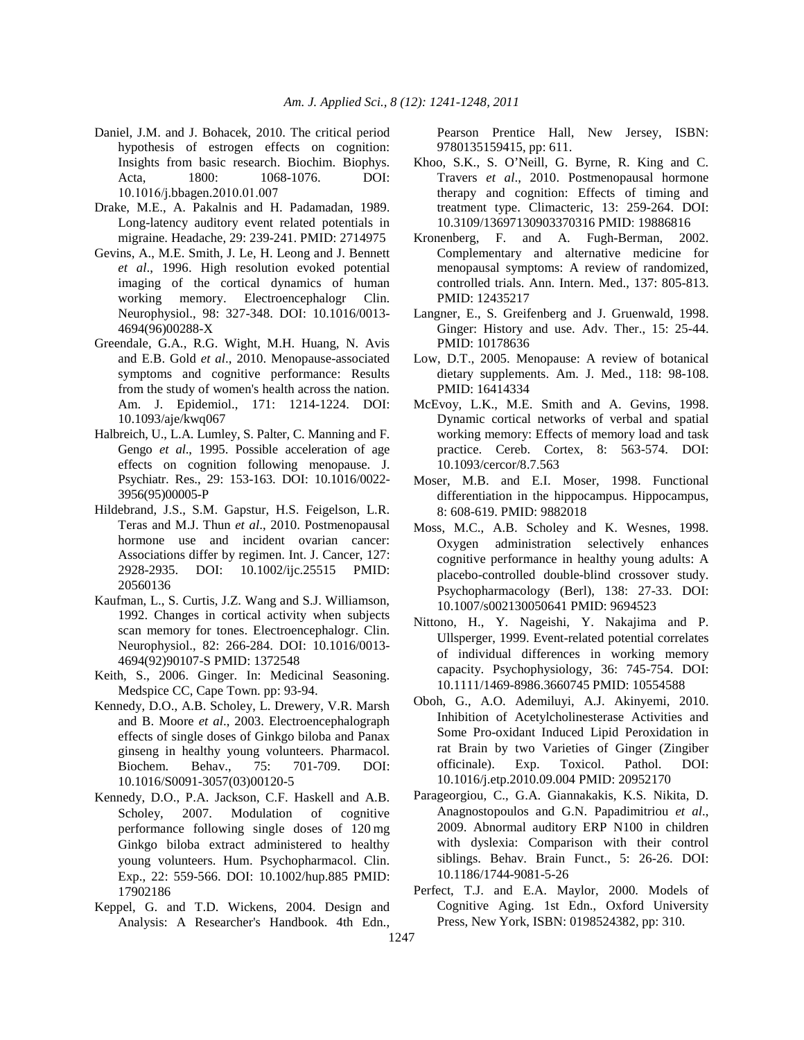- Daniel, J.M. and J. Bohacek, 2010. The critical period hypothesis of estrogen effects on cognition: Insights from basic research. Biochim. Biophys. Acta, 1800: 1068-1076. DOI: 10.1016/j.bbagen.2010.01.007
- Drake, M.E., A. Pakalnis and H. Padamadan, 1989. Long-latency auditory event related potentials in migraine. Headache, 29: 239-241. PMID: 2714975
- Gevins, A., M.E. Smith, J. Le, H. Leong and J. Bennett *et al*., 1996. High resolution evoked potential imaging of the cortical dynamics of human working memory. Electroencephalogr Clin. Neurophysiol., 98: 327-348. DOI: 10.1016/0013- 4694(96)00288-X
- Greendale, G.A., R.G. Wight, M.H. Huang, N. Avis and E.B. Gold *et al*., 2010. Menopause-associated symptoms and cognitive performance: Results from the study of women's health across the nation. Am. J. Epidemiol., 171: 1214-1224. DOI: 10.1093/aje/kwq067
- Halbreich, U., L.A. Lumley, S. Palter, C. Manning and F. Gengo *et al*., 1995. Possible acceleration of age effects on cognition following menopause. J. Psychiatr. Res., 29: 153-163. DOI: 10.1016/0022- 3956(95)00005-P
- Hildebrand, J.S., S.M. Gapstur, H.S. Feigelson, L.R. Teras and M.J. Thun *et al*., 2010. Postmenopausal hormone use and incident ovarian cancer: Associations differ by regimen. Int. J. Cancer, 127: 2928-2935. DOI: 10.1002/ijc.25515 PMID: 20560136
- Kaufman, L., S. Curtis, J.Z. Wang and S.J. Williamson, 1992. Changes in cortical activity when subjects scan memory for tones. Electroencephalogr. Clin. Neurophysiol., 82: 266-284. DOI: 10.1016/0013- 4694(92)90107-S PMID: 1372548
- Keith, S., 2006. Ginger. In: Medicinal Seasoning. Medspice CC, Cape Town. pp: 93-94.
- Kennedy, D.O., A.B. Scholey, L. Drewery, V.R. Marsh and B. Moore *et al*., 2003. Electroencephalograph effects of single doses of Ginkgo biloba and Panax ginseng in healthy young volunteers. Pharmacol. Biochem. Behav., 75: 701-709. DOI: 10.1016/S0091-3057(03)00120-5
- Kennedy, D.O., P.A. Jackson, C.F. Haskell and A.B. Scholey, 2007. Modulation of cognitive performance following single doses of 120 mg Ginkgo biloba extract administered to healthy young volunteers. Hum. Psychopharmacol. Clin. Exp., 22: 559-566. DOI: 10.1002/hup.885 PMID: 17902186
- Keppel, G. and T.D. Wickens, 2004. Design and Analysis: A Researcher's Handbook. 4th Edn.,

Pearson Prentice Hall, New Jersey, ISBN: 9780135159415, pp: 611.

- Khoo, S.K., S. O'Neill, G. Byrne, R. King and C. Travers *et al*., 2010. Postmenopausal hormone therapy and cognition: Effects of timing and treatment type. Climacteric, 13: 259-264. DOI: 10.3109/13697130903370316 PMID: 19886816
- Kronenberg, F. and A. Fugh-Berman, 2002. Complementary and alternative medicine for menopausal symptoms: A review of randomized, controlled trials. Ann. Intern. Med., 137: 805-813. PMID: 12435217
- Langner, E., S. Greifenberg and J. Gruenwald, 1998. Ginger: History and use. Adv. Ther., 15: 25-44. PMID: 10178636
- Low, D.T., 2005. Menopause: A review of botanical dietary supplements. Am. J. Med., 118: 98-108. PMID: 16414334
- McEvoy, L.K., M.E. Smith and A. Gevins, 1998. Dynamic cortical networks of verbal and spatial working memory: Effects of memory load and task practice. Cereb. Cortex, 8: 563-574. DOI: 10.1093/cercor/8.7.563
- Moser, M.B. and E.I. Moser, 1998. Functional differentiation in the hippocampus. Hippocampus, 8: 608-619. PMID: 9882018
- Moss, M.C., A.B. Scholey and K. Wesnes, 1998. Oxygen administration selectively enhances cognitive performance in healthy young adults: A placebo-controlled double-blind crossover study. Psychopharmacology (Berl), 138: 27-33. DOI: 10.1007/s002130050641 PMID: 9694523
- Nittono, H., Y. Nageishi, Y. Nakajima and P. Ullsperger, 1999. Event-related potential correlates of individual differences in working memory capacity. Psychophysiology, 36: 745-754. DOI: 10.1111/1469-8986.3660745 PMID: 10554588
- Oboh, G., A.O. Ademiluyi, A.J. Akinyemi, 2010. Inhibition of Acetylcholinesterase Activities and Some Pro-oxidant Induced Lipid Peroxidation in rat Brain by two Varieties of Ginger (Zingiber officinale). Exp. Toxicol. Pathol. DOI: 10.1016/j.etp.2010.09.004 PMID: 20952170
- Parageorgiou, C., G.A. Giannakakis, K.S. Nikita, D. Anagnostopoulos and G.N. Papadimitriou *et al*., 2009. Abnormal auditory ERP N100 in children with dyslexia: Comparison with their control siblings. Behav. Brain Funct., 5: 26-26. DOI: 10.1186/1744-9081-5-26
- Perfect, T.J. and E.A. Maylor, 2000. Models of Cognitive Aging. 1st Edn., Oxford University Press, New York, ISBN: 0198524382, pp: 310.